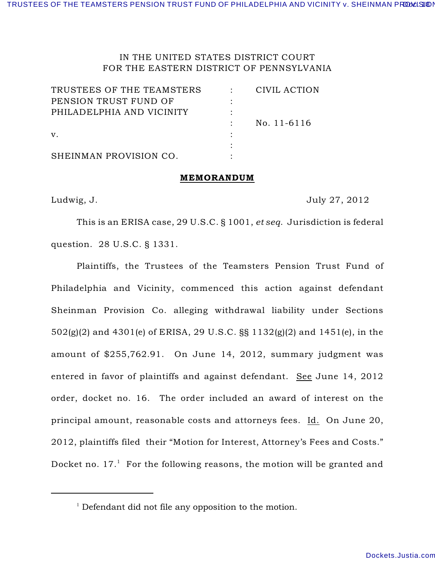# IN THE UNITED STATES DISTRICT COURT FOR THE EASTERN DISTRICT OF PENNSYLVANIA

| TRUSTEES OF THE TEAMSTERS | CIVIL ACTION |
|---------------------------|--------------|
| PENSION TRUST FUND OF     |              |
| PHILADELPHIA AND VICINITY |              |
|                           | No. 11-6116  |
| V.                        |              |
|                           |              |
| SHEINMAN PROVISION CO.    |              |

#### MEMORANDUM

Ludwig, J. 2012

This is an ERISA case, 29 U.S.C. § 1001, *et seq*. Jurisdiction is federal question. 28 U.S.C. § 1331.

Plaintiffs, the Trustees of the Teamsters Pension Trust Fund of Philadelphia and Vicinity, commenced this action against defendant Sheinman Provision Co. alleging withdrawal liability under Sections 502(g)(2) and 4301(e) of ERISA, 29 U.S.C. §§ 1132(g)(2) and 1451(e), in the amount of \$255,762.91. On June 14, 2012, summary judgment was entered in favor of plaintiffs and against defendant. See June 14, 2012 order, docket no. 16. The order included an award of interest on the principal amount, reasonable costs and attorneys fees. Id. On June 20, 2012, plaintiffs filed their "Motion for Interest, Attorney's Fees and Costs." Docket no.  $17<sup>1</sup>$  For the following reasons, the motion will be granted and

 $\frac{1}{1}$  Defendant did not file any opposition to the motion.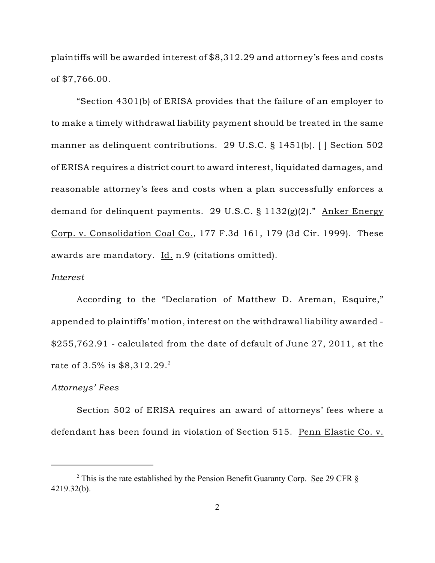plaintiffs will be awarded interest of \$8,312.29 and attorney's fees and costs of \$7,766.00.

"Section 4301(b) of ERISA provides that the failure of an employer to to make a timely withdrawal liability payment should be treated in the same manner as delinquent contributions. 29 U.S.C. § 1451(b). [ ] Section 502 of ERISA requires a district court to award interest, liquidated damages, and reasonable attorney's fees and costs when a plan successfully enforces a demand for delinquent payments. 29 U.S.C. § 1132(g)(2)." Anker Energy Corp. v. Consolidation Coal Co., 177 F.3d 161, 179 (3d Cir. 1999). These awards are mandatory. Id. n.9 (citations omitted).

### *Interest*

According to the "Declaration of Matthew D. Areman, Esquire," appended to plaintiffs' motion, interest on the withdrawal liability awarded - \$255,762.91 - calculated from the date of default of June 27, 2011, at the rate of 3.5% is \$8,312.29.<sup>2</sup>

#### *Attorneys' Fees*

Section 502 of ERISA requires an award of attorneys' fees where a defendant has been found in violation of Section 515. Penn Elastic Co. v.

<sup>&</sup>lt;sup>2</sup> This is the rate established by the Pension Benefit Guaranty Corp. See 29 CFR  $\S$ 4219.32(b).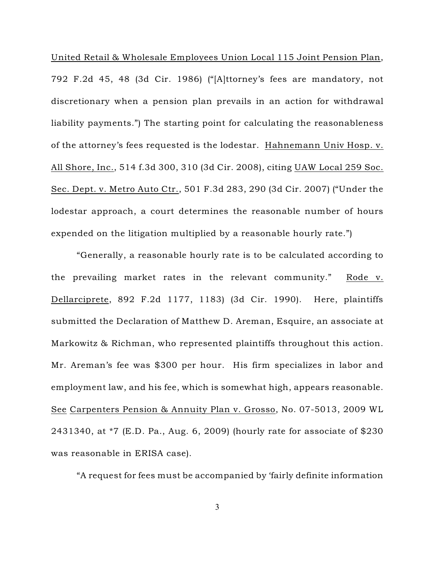United Retail & Wholesale Employees Union Local 115 Joint Pension Plan, 792 F.2d 45, 48 (3d Cir. 1986) ("[A]ttorney's fees are mandatory, not discretionary when a pension plan prevails in an action for withdrawal liability payments.") The starting point for calculating the reasonableness of the attorney's fees requested is the lodestar. Hahnemann Univ Hosp. v. All Shore, Inc., 514 f.3d 300, 310 (3d Cir. 2008), citing UAW Local 259 Soc. Sec. Dept. v. Metro Auto Ctr., 501 F.3d 283, 290 (3d Cir. 2007) ("Under the lodestar approach, a court determines the reasonable number of hours expended on the litigation multiplied by a reasonable hourly rate.")

"Generally, a reasonable hourly rate is to be calculated according to the prevailing market rates in the relevant community." Rode v. Dellarciprete, 892 F.2d 1177, 1183) (3d Cir. 1990). Here, plaintiffs submitted the Declaration of Matthew D. Areman, Esquire, an associate at Markowitz & Richman, who represented plaintiffs throughout this action. Mr. Areman's fee was \$300 per hour. His firm specializes in labor and employment law, and his fee, which is somewhat high, appears reasonable. See Carpenters Pension & Annuity Plan v. Grosso, No. 07-5013, 2009 WL 2431340, at \*7 (E.D. Pa., Aug. 6, 2009) (hourly rate for associate of \$230 was reasonable in ERISA case).

"A request for fees must be accompanied by 'fairly definite information

3